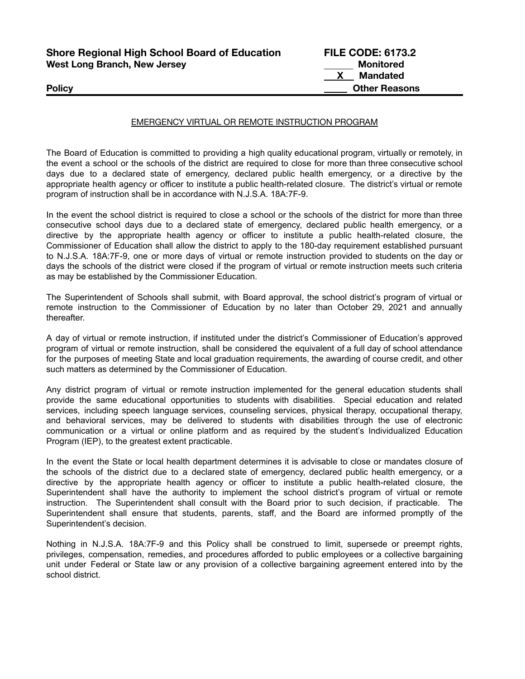| <b>Shore Regional High School Board of Education</b> | <b>FILE CODE: 6173.2</b> |
|------------------------------------------------------|--------------------------|
| <b>West Long Branch, New Jersey</b>                  | Monitored                |
|                                                      | <b>Mandated</b>          |
| <b>Policy</b>                                        | <b>Other Reasons</b>     |

## EMERGENCY VIRTUAL OR REMOTE INSTRUCTION PROGRAM

The Board of Education is committed to providing a high quality educational program, virtually or remotely, in the event a school or the schools of the district are required to close for more than three consecutive school days due to a declared state of emergency, declared public health emergency, or a directive by the appropriate health agency or officer to institute a public health-related closure. The district's virtual or remote program of instruction shall be in accordance with N.J.S.A. 18A:7F-9.

In the event the school district is required to close a school or the schools of the district for more than three consecutive school days due to a declared state of emergency, declared public health emergency, or a directive by the appropriate health agency or officer to institute a public health-related closure, the Commissioner of Education shall allow the district to apply to the 180-day requirement established pursuant to N.J.S.A. 18A:7F-9, one or more days of virtual or remote instruction provided to students on the day or days the schools of the district were closed if the program of virtual or remote instruction meets such criteria as may be established by the Commissioner Education.

The Superintendent of Schools shall submit, with Board approval, the school district's program of virtual or remote instruction to the Commissioner of Education by no later than October 29, 2021 and annually thereafter.

A day of virtual or remote instruction, if instituted under the district's Commissioner of Education's approved program of virtual or remote instruction, shall be considered the equivalent of a full day of school attendance for the purposes of meeting State and local graduation requirements, the awarding of course credit, and other such matters as determined by the Commissioner of Education.

Any district program of virtual or remote instruction implemented for the general education students shall provide the same educational opportunities to students with disabilities. Special education and related services, including speech language services, counseling services, physical therapy, occupational therapy, and behavioral services, may be delivered to students with disabilities through the use of electronic communication or a virtual or online platform and as required by the student's Individualized Education Program (IEP), to the greatest extent practicable.

In the event the State or local health department determines it is advisable to close or mandates closure of the schools of the district due to a declared state of emergency, declared public health emergency, or a directive by the appropriate health agency or officer to institute a public health-related closure, the Superintendent shall have the authority to implement the school district's program of virtual or remote instruction. The Superintendent shall consult with the Board prior to such decision, if practicable. The Superintendent shall ensure that students, parents, staff, and the Board are informed promptly of the Superintendent's decision.

Nothing in N.J.S.A. 18A:7F-9 and this Policy shall be construed to limit, supersede or preempt rights, privileges, compensation, remedies, and procedures afforded to public employees or a collective bargaining unit under Federal or State law or any provision of a collective bargaining agreement entered into by the school district.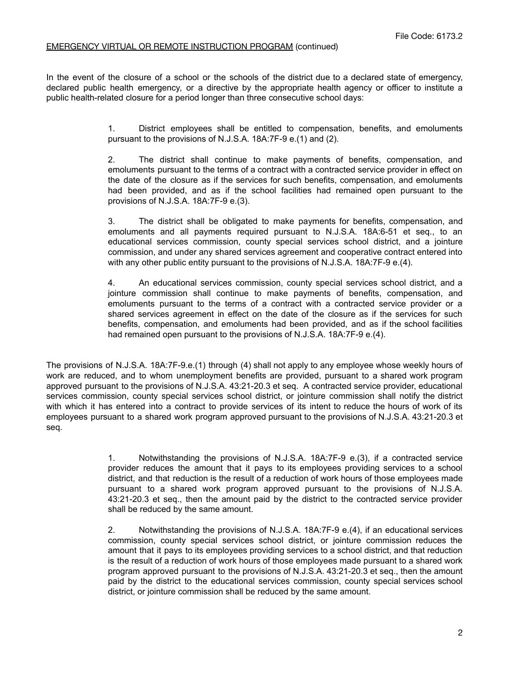## EMERGENCY VIRTUAL OR REMOTE INSTRUCTION PROGRAM (continued)

In the event of the closure of a school or the schools of the district due to a declared state of emergency, declared public health emergency, or a directive by the appropriate health agency or officer to institute a public health-related closure for a period longer than three consecutive school days:

> 1. District employees shall be entitled to compensation, benefits, and emoluments pursuant to the provisions of N.J.S.A. 18A:7F-9 e.(1) and (2).

> 2. The district shall continue to make payments of benefits, compensation, and emoluments pursuant to the terms of a contract with a contracted service provider in effect on the date of the closure as if the services for such benefits, compensation, and emoluments had been provided, and as if the school facilities had remained open pursuant to the provisions of N.J.S.A. 18A:7F-9 e.(3).

> 3. The district shall be obligated to make payments for benefits, compensation, and emoluments and all payments required pursuant to N.J.S.A. 18A:6-51 et seq., to an educational services commission, county special services school district, and a jointure commission, and under any shared services agreement and cooperative contract entered into with any other public entity pursuant to the provisions of N.J.S.A. 18A:7F-9 e.(4).

> 4. An educational services commission, county special services school district, and a jointure commission shall continue to make payments of benefits, compensation, and emoluments pursuant to the terms of a contract with a contracted service provider or a shared services agreement in effect on the date of the closure as if the services for such benefits, compensation, and emoluments had been provided, and as if the school facilities had remained open pursuant to the provisions of N.J.S.A. 18A:7F-9 e.(4).

The provisions of N.J.S.A. 18A:7F-9.e.(1) through (4) shall not apply to any employee whose weekly hours of work are reduced, and to whom unemployment benefits are provided, pursuant to a shared work program approved pursuant to the provisions of N.J.S.A. 43:21-20.3 et seq. A contracted service provider, educational services commission, county special services school district, or jointure commission shall notify the district with which it has entered into a contract to provide services of its intent to reduce the hours of work of its employees pursuant to a shared work program approved pursuant to the provisions of N.J.S.A. 43:21-20.3 et seq.

> 1. Notwithstanding the provisions of N.J.S.A. 18A:7F-9 e.(3), if a contracted service provider reduces the amount that it pays to its employees providing services to a school district, and that reduction is the result of a reduction of work hours of those employees made pursuant to a shared work program approved pursuant to the provisions of N.J.S.A. 43:21-20.3 et seq., then the amount paid by the district to the contracted service provider shall be reduced by the same amount.

> 2. Notwithstanding the provisions of N.J.S.A. 18A:7F-9 e.(4), if an educational services commission, county special services school district, or jointure commission reduces the amount that it pays to its employees providing services to a school district, and that reduction is the result of a reduction of work hours of those employees made pursuant to a shared work program approved pursuant to the provisions of N.J.S.A. 43:21-20.3 et seq., then the amount paid by the district to the educational services commission, county special services school district, or jointure commission shall be reduced by the same amount.